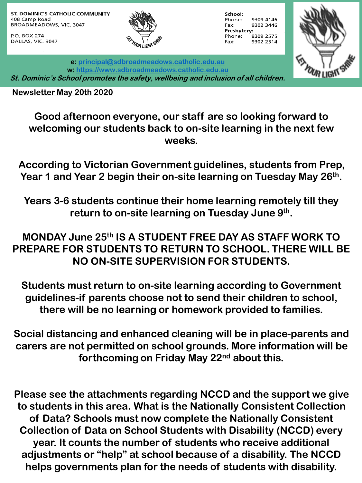ST. DOMINIC'S CATHOLIC COMMUNITY 408 Camp Road BROADMEADOWS, VIC. 3047

P.O. BOX 274 DALLAS, VIC. 3047



School: Phone: 9309 4146 9302 3446 Fax: Presbytery: 9309 2575 Phone: Fax: 9302 2514



**e: [principal@sdbroadmeadows.catholic.edu.au](mailto:principal@sdbroadmeadows.catholic.edu.au) w: [https://www.sdbroadmeadows.catholic.edu.au](https://www.sdbroadmeadows.catholic.edu.au/) St. Dominic's School promotes the safety, wellbeing and inclusion of all children.**

**Newsletter May 20th 2020**

**Good afternoon everyone, our staff are so looking forward to welcoming our students back to on-site learning in the next few weeks.** 

**According to Victorian Government guidelines, students from Prep, Year 1 and Year 2 begin their on-site learning on Tuesday May 26th.**

**Years 3-6 students continue their home learning remotely till they return to on-site learning on Tuesday June 9th.**

## **MONDAY June 25th IS A STUDENT FREE DAY AS STAFF WORK TO PREPARE FOR STUDENTS TO RETURN TO SCHOOL. THERE WILL BE NO ON-SITE SUPERVISION FOR STUDENTS.**

**Students must return to on-site learning according to Government guidelines-if parents choose not to send their children to school, there will be no learning or homework provided to families.**

**Social distancing and enhanced cleaning will be in place-parents and carers are not permitted on school grounds. More information will be forthcoming on Friday May 22nd about this.**

**Please see the attachments regarding NCCD and the support we give to students in this area. What is the Nationally Consistent Collection of Data? Schools must now complete the Nationally Consistent Collection of Data on School Students with Disability (NCCD) every year. It counts the number of students who receive additional adjustments or "help" at school because of a disability. The NCCD helps governments plan for the needs of students with disability.**